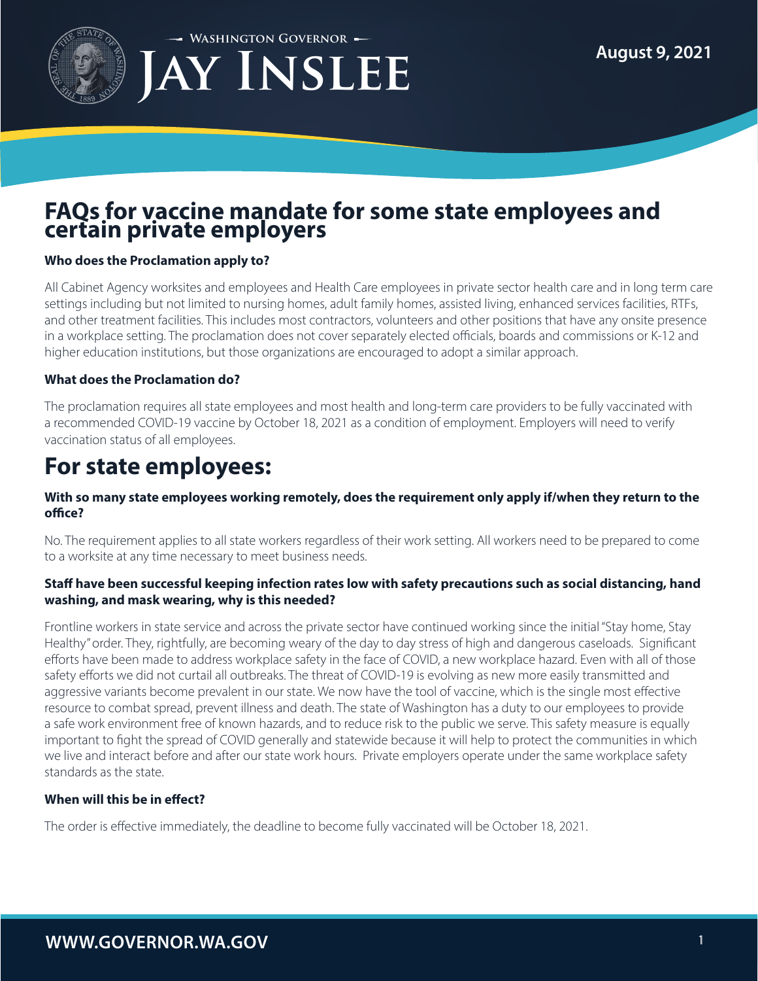

**Washington Governor**



## **FAQs for vaccine mandate for some state employees and certain private employers**

## **Who does the Proclamation apply to?**

All Cabinet Agency worksites and employees and Health Care employees in private sector health care and in long term care settings including but not limited to nursing homes, adult family homes, assisted living, enhanced services facilities, RTFs, and other treatment facilities. This includes most contractors, volunteers and other positions that have any onsite presence in a workplace setting. The proclamation does not cover separately elected officials, boards and commissions or K-12 and higher education institutions, but those organizations are encouraged to adopt a similar approach.

## **What does the Proclamation do?**

The proclamation requires all state employees and most health and long-term care providers to be fully vaccinated with a recommended COVID-19 vaccine by October 18, 2021 as a condition of employment. Employers will need to verify vaccination status of all employees.

# **For state employees:**

## **With so many state employees working remotely, does the requirement only apply if/when they return to the office?**

No. The requirement applies to all state workers regardless of their work setting. All workers need to be prepared to come to a worksite at any time necessary to meet business needs.

## **Staff have been successful keeping infection rates low with safety precautions such as social distancing, hand washing, and mask wearing, why is this needed?**

Frontline workers in state service and across the private sector have continued working since the initial "Stay home, Stay Healthy" order. They, rightfully, are becoming weary of the day to day stress of high and dangerous caseloads. Significant efforts have been made to address workplace safety in the face of COVID, a new workplace hazard. Even with all of those safety efforts we did not curtail all outbreaks. The threat of COVID-19 is evolving as new more easily transmitted and aggressive variants become prevalent in our state. We now have the tool of vaccine, which is the single most effective resource to combat spread, prevent illness and death. The state of Washington has a duty to our employees to provide a safe work environment free of known hazards, and to reduce risk to the public we serve. This safety measure is equally important to fight the spread of COVID generally and statewide because it will help to protect the communities in which we live and interact before and after our state work hours. Private employers operate under the same workplace safety standards as the state.

## **When will this be in effect?**

The order is effective immediately, the deadline to become fully vaccinated will be October 18, 2021.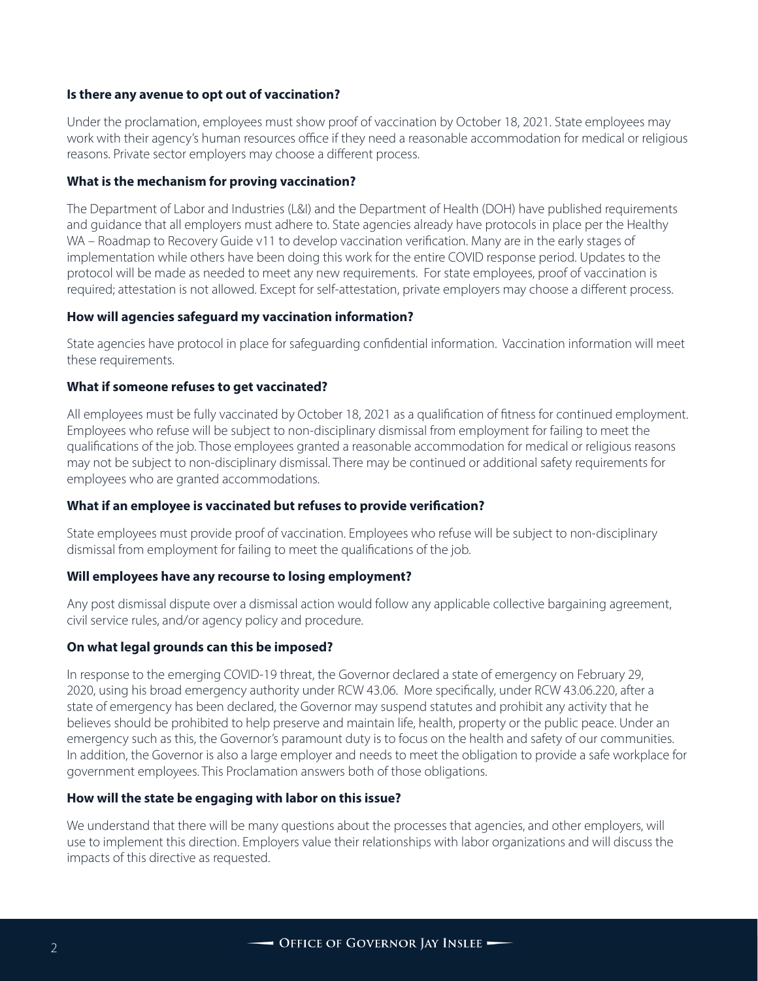## **Is there any avenue to opt out of vaccination?**

Under the proclamation, employees must show proof of vaccination by October 18, 2021. State employees may work with their agency's human resources office if they need a reasonable accommodation for medical or religious reasons. Private sector employers may choose a different process.

## **What is the mechanism for proving vaccination?**

The Department of Labor and Industries (L&I) and the Department of Health (DOH) have published requirements and guidance that all employers must adhere to. State agencies already have protocols in place per the Healthy WA – Roadmap to Recovery Guide v11 to develop vaccination verification. Many are in the early stages of implementation while others have been doing this work for the entire COVID response period. Updates to the protocol will be made as needed to meet any new requirements. For state employees, proof of vaccination is required; attestation is not allowed. Except for self-attestation, private employers may choose a different process.

#### **How will agencies safeguard my vaccination information?**

State agencies have protocol in place for safeguarding confidential information. Vaccination information will meet these requirements.

## **What if someone refuses to get vaccinated?**

All employees must be fully vaccinated by October 18, 2021 as a qualification of fitness for continued employment. Employees who refuse will be subject to non-disciplinary dismissal from employment for failing to meet the qualifications of the job. Those employees granted a reasonable accommodation for medical or religious reasons may not be subject to non-disciplinary dismissal. There may be continued or additional safety requirements for employees who are granted accommodations.

## **What if an employee is vaccinated but refuses to provide verification?**

State employees must provide proof of vaccination. Employees who refuse will be subject to non-disciplinary dismissal from employment for failing to meet the qualifications of the job.

#### **Will employees have any recourse to losing employment?**

Any post dismissal dispute over a dismissal action would follow any applicable collective bargaining agreement, civil service rules, and/or agency policy and procedure.

#### **On what legal grounds can this be imposed?**

In response to the emerging COVID-19 threat, the Governor declared a state of emergency on February 29, 2020, using his broad emergency authority under RCW 43.06. More specifically, under RCW 43.06.220, after a state of emergency has been declared, the Governor may suspend statutes and prohibit any activity that he believes should be prohibited to help preserve and maintain life, health, property or the public peace. Under an emergency such as this, the Governor's paramount duty is to focus on the health and safety of our communities. In addition, the Governor is also a large employer and needs to meet the obligation to provide a safe workplace for government employees. This Proclamation answers both of those obligations.

#### **How will the state be engaging with labor on this issue?**

We understand that there will be many questions about the processes that agencies, and other employers, will use to implement this direction. Employers value their relationships with labor organizations and will discuss the impacts of this directive as requested.